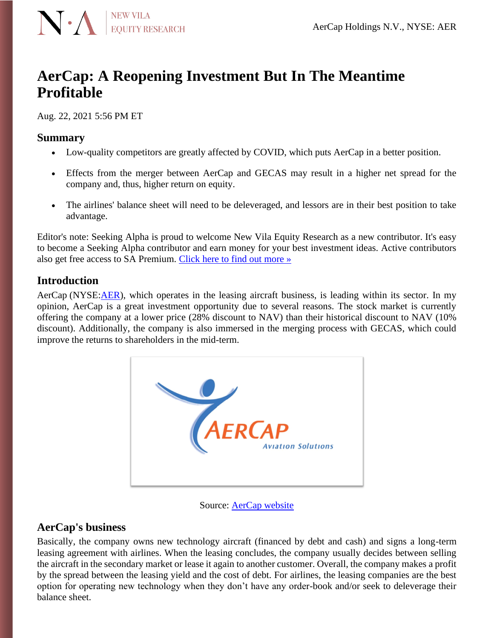

# **AerCap: A Reopening Investment But In The Meantime Profitable**

Aug. 22, 2021 5:56 PM ET

### **Summary**

- Low-quality competitors are greatly affected by COVID, which puts AerCap in a better position.
- Effects from the merger between AerCap and GECAS may result in a higher net spread for the company and, thus, higher return on equity.
- The airlines' balance sheet will need to be deleveraged, and lessors are in their best position to take advantage.

Editor's note: Seeking Alpha is proud to welcome New Vila Equity Research as a new contributor. It's easy to become a Seeking Alpha contributor and earn money for your best investment ideas. Active contributors also get free access to SA Premium. [Click here to find out more »](https://seekingalpha.com/page/become-a-seeking-alpha-contributor)

# **Introduction**

AerCap (NYSE[:AER\)](https://seekingalpha.com/symbol/AER?source=content_type%3Areact%7Csection%3Amain_content%7Cbutton%3Abody_link), which operates in the leasing aircraft business, is leading within its sector. In my opinion, AerCap is a great investment opportunity due to several reasons. The stock market is currently offering the company at a lower price (28% discount to NAV) than their historical discount to NAV (10% discount). Additionally, the company is also immersed in the merging process with GECAS, which could improve the returns to shareholders in the mid-term.



Source: [AerCap website](https://www.aercap.com/about/our-history/)

# **AerCap's business**

Basically, the company owns new technology aircraft (financed by debt and cash) and signs a long-term leasing agreement with airlines. When the leasing concludes, the company usually decides between selling the aircraft in the secondary market or lease it again to another customer. Overall, the company makes a profit by the spread between the leasing yield and the cost of debt. For airlines, the leasing companies are the best option for operating new technology when they don't have any order-book and/or seek to deleverage their balance sheet.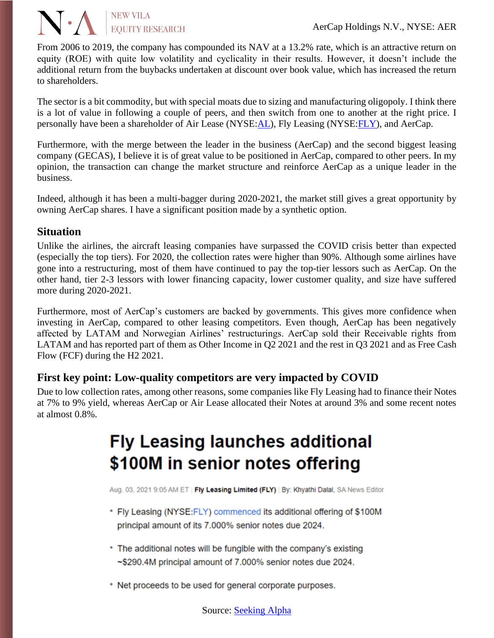From 2006 to 2019, the company has compounded its NAV at a 13.2% rate, which is an attractive return on equity (ROE) with quite low volatility and cyclicality in their results. However, it doesn't include the additional return from the buybacks undertaken at discount over book value, which has increased the return to shareholders.

The sector is a bit commodity, but with special moats due to sizing and manufacturing oligopoly. I think there is a lot of value in following a couple of peers, and then switch from one to another at the right price. I personally have been a shareholder of Air Lease (NYSE[:AL\)](https://seekingalpha.com/symbol/AL?source=content_type%3Areact%7Csection%3Amain_content%7Cbutton%3Abody_link), Fly Leasing (NYSE[:FLY\)](https://seekingalpha.com/symbol/FLY?source=content_type%3Areact%7Csection%3Amain_content%7Cbutton%3Abody_link), and AerCap.

Furthermore, with the merge between the leader in the business (AerCap) and the second biggest leasing company (GECAS), I believe it is of great value to be positioned in AerCap, compared to other peers. In my opinion, the transaction can change the market structure and reinforce AerCap as a unique leader in the business.

Indeed, although it has been a multi-bagger during 2020-2021, the market still gives a great opportunity by owning AerCap shares. I have a significant position made by a synthetic option.

## **Situation**

**N** . NEW VILA<br>EQUITY RESEARCH

Unlike the airlines, the aircraft leasing companies have surpassed the COVID crisis better than expected (especially the top tiers). For 2020, the collection rates were higher than 90%. Although some airlines have gone into a restructuring, most of them have continued to pay the top-tier lessors such as AerCap. On the other hand, tier 2-3 lessors with lower financing capacity, lower customer quality, and size have suffered more during 2020-2021.

Furthermore, most of AerCap's customers are backed by governments. This gives more confidence when investing in AerCap, compared to other leasing competitors. Even though, AerCap has been negatively affected by LATAM and Norwegian Airlines' restructurings. AerCap sold their Receivable rights from LATAM and has reported part of them as Other Income in Q2 2021 and the rest in Q3 2021 and as Free Cash Flow (FCF) during the H2 2021.

# **First key point: Low-quality competitors are very impacted by COVID**

Due to low collection rates, among other reasons, some companies like Fly Leasing had to finance their Notes at 7% to 9% yield, whereas AerCap or Air Lease allocated their Notes at around 3% and some recent notes at almost 0.8%.

# **Fly Leasing launches additional** \$100M in senior notes offering

Aug. 03, 2021 9:05 AM ET | Fly Leasing Limited (FLY) | By: Khyathi Dalal, SA News Editor

- \* Fly Leasing (NYSE:FLY) commenced its additional offering of \$100M principal amount of its 7.000% senior notes due 2024.
- \* The additional notes will be fungible with the company's existing ~\$290.4M principal amount of 7.000% senior notes due 2024.
- \* Net proceeds to be used for general corporate purposes.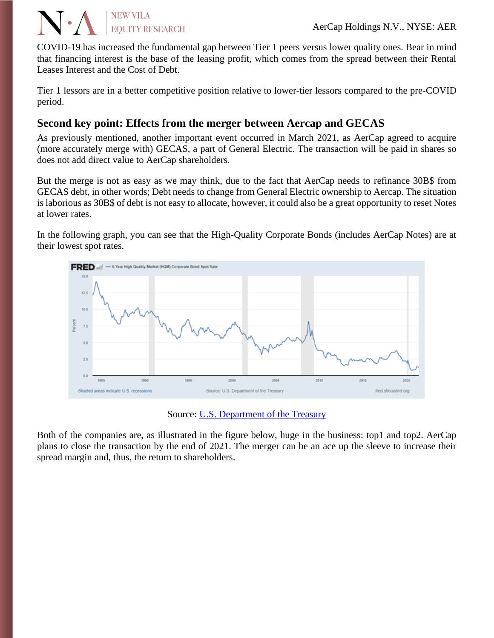COVID-19 has increased the fundamental gap between Tier 1 peers versus lower quality ones. Bear in mind that financing interest is the base of the leasing profit, which comes from the spread between their Rental Leases Interest and the Cost of Debt.

Tier 1 lessors are in a better competitive position relative to lower-tier lessors compared to the pre-COVID period.

# **Second key point: Effects from the merger between Aercap and GECAS**

**NEW VILA** 

**EQUITY RESEARCH** 

As previously mentioned, another important event occurred in March 2021, as AerCap agreed to acquire (more accurately merge with) GECAS, a part of General Electric. The transaction will be paid in shares so does not add direct value to AerCap shareholders.

But the merge is not as easy as we may think, due to the fact that AerCap needs to refinance 30B\$ from GECAS debt, in other words; Debt needs to change from General Electric ownership to Aercap. The situation is laborious as 30B\$ of debt is not easy to allocate, however, it could also be a great opportunity to reset Notes at lower rates.

In the following graph, you can see that the High-Quality Corporate Bonds (includes AerCap Notes) are at their lowest spot rates.



Source: [U.S. Department of the Treasury](https://fred.stlouisfed.org/series/HQMCB5YR)

Both of the companies are, as illustrated in the figure below, huge in the business: top1 and top2. AerCap plans to close the transaction by the end of 2021. The merger can be an ace up the sleeve to increase their spread margin and, thus, the return to shareholders.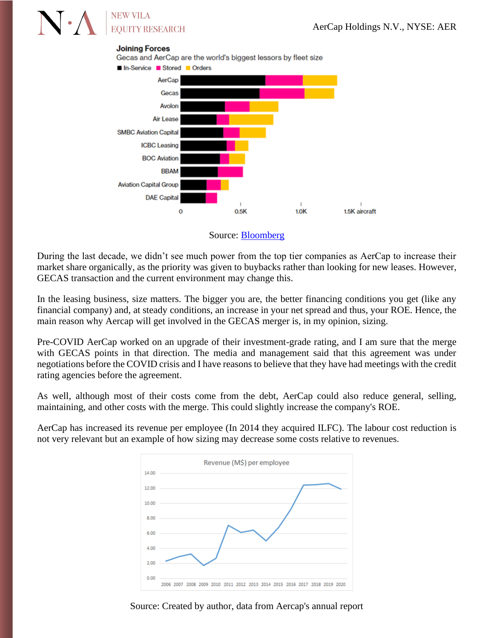# **NEW VILA EOUITY RESEARCH**

#### **Joining Forces**

Gecas and AerCap are the world's biggest lessors by fleet size



Source: [Bloomberg](https://www.bloomberg.com/news/articles/2021-03-07/ge-nears-deal-to-combine-aircraft-leasing-unit-with-aercap-dj)

During the last decade, we didn't see much power from the top tier companies as AerCap to increase their market share organically, as the priority was given to buybacks rather than looking for new leases. However, GECAS transaction and the current environment may change this.

In the leasing business, size matters. The bigger you are, the better financing conditions you get (like any financial company) and, at steady conditions, an increase in your net spread and thus, your ROE. Hence, the main reason why Aercap will get involved in the GECAS merger is, in my opinion, sizing.

Pre-COVID AerCap worked on an upgrade of their investment-grade rating, and I am sure that the merge with GECAS points in that direction. The media and management said that this agreement was under negotiations before the COVID crisis and I have reasons to believe that they have had meetings with the credit rating agencies before the agreement.

As well, although most of their costs come from the debt, AerCap could also reduce general, selling, maintaining, and other costs with the merge. This could slightly increase the company's ROE.

AerCap has increased its revenue per employee (In 2014 they acquired ILFC). The labour cost reduction is not very relevant but an example of how sizing may decrease some costs relative to revenues.



Source: Created by author, data from Aercap's annual report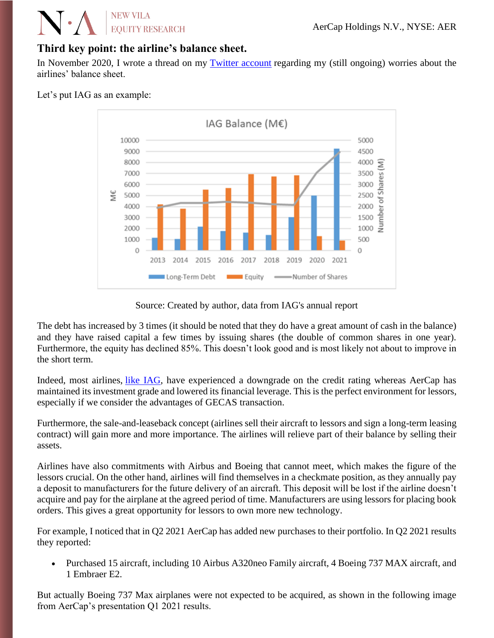# **NEW VILA EOUITY RESEARCH**

# **Third key point: the airline's balance sheet.**

In November 2020, I wrote a thread on my [Twitter account](https://twitter.com/HolyFinance/status/1322889816422420480) regarding my (still ongoing) worries about the airlines' balance sheet.

### Let's put IAG as an example:



#### Source: Created by author, data from IAG's annual report

The debt has increased by 3 times (it should be noted that they do have a great amount of cash in the balance) and they have raised capital a few times by issuing shares (the double of common shares in one year). Furthermore, the equity has declined 85%. This doesn't look good and is most likely not about to improve in the short term.

Indeed, most airlines, [like IAG,](https://www.spglobal.com/marketintelligence/en/news-insights/latest-news-headlines/moody-s-lowers-corporate-family-ratings-of-british-airways-parent-iag-60239726) have experienced a downgrade on the credit rating whereas AerCap has maintained its investment grade and lowered its financial leverage. This is the perfect environment for lessors, especially if we consider the advantages of GECAS transaction.

Furthermore, the sale-and-leaseback concept (airlines sell their aircraft to lessors and sign a long-term leasing contract) will gain more and more importance. The airlines will relieve part of their balance by selling their assets.

Airlines have also commitments with Airbus and Boeing that cannot meet, which makes the figure of the lessors crucial. On the other hand, airlines will find themselves in a checkmate position, as they annually pay a deposit to manufacturers for the future delivery of an aircraft. This deposit will be lost if the airline doesn't acquire and pay for the airplane at the agreed period of time. Manufacturers are using lessors for placing book orders. This gives a great opportunity for lessors to own more new technology.

For example, I noticed that in Q2 2021 AerCap has added new purchases to their portfolio. In Q2 2021 results they reported:

• Purchased 15 aircraft, including 10 Airbus A320neo Family aircraft, 4 Boeing 737 MAX aircraft, and 1 Embraer E2.

But actually Boeing 737 Max airplanes were not expected to be acquired, as shown in the following image from AerCap's presentation Q1 2021 results.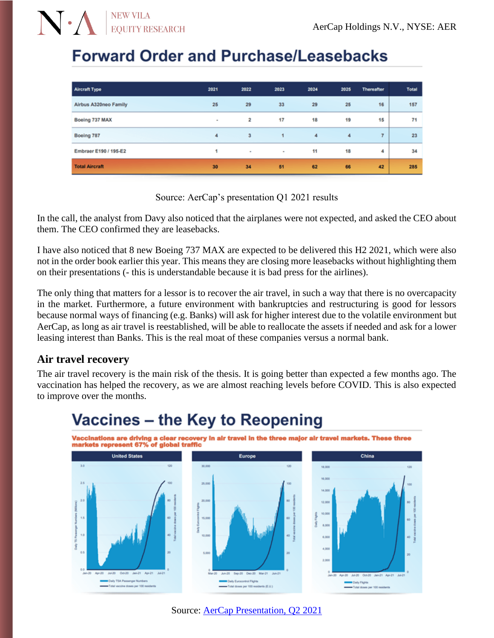# **Forward Order and Purchase/Leasebacks**

**NEW VILA** 

**EQUITY RESEARCH** 

| <b>Aircraft Type</b>  | 2021 | 2022   | 2023   | 2024             | 2025               | <b>Thereafter</b> | <b>Total</b> |
|-----------------------|------|--------|--------|------------------|--------------------|-------------------|--------------|
| Airbus A320neo Family | 25   | 29     | 33     | 29               | 25                 | 16                | 157          |
| Boeing 737 MAX        | ٠    | 2      | 17     | 18               | 19                 | 15                | 71           |
| Boeing 787            | 4    | 3      | 1      | $\boldsymbol{4}$ | $\overline{\bf 4}$ | $\overline{7}$    | 23           |
| Embraer E190 / 195-E2 |      | $\sim$ | $\sim$ | 11               | 18                 | 4                 | 34           |
| <b>Total Aircraft</b> | 30   | 34     | 51     | 62               | 66                 | 42                | 285          |

Source: AerCap's presentation Q1 2021 results

In the call, the analyst from Davy also noticed that the airplanes were not expected, and asked the CEO about them. The CEO confirmed they are leasebacks.

I have also noticed that 8 new Boeing 737 MAX are expected to be delivered this H2 2021, which were also not in the order book earlier this year. This means they are closing more leasebacks without highlighting them on their presentations (- this is understandable because it is bad press for the airlines).

The only thing that matters for a lessor is to recover the air travel, in such a way that there is no overcapacity in the market. Furthermore, a future environment with bankruptcies and restructuring is good for lessors because normal ways of financing (e.g. Banks) will ask for higher interest due to the volatile environment but AerCap, as long as air travel is reestablished, will be able to reallocate the assets if needed and ask for a lower leasing interest than Banks. This is the real moat of these companies versus a normal bank.

# **Air travel recovery**

The air travel recovery is the main risk of the thesis. It is going better than expected a few months ago. The vaccination has helped the recovery, as we are almost reaching levels before COVID. This is also expected to improve over the months.



# Vaccines - the Key to Reopening

Source: [AerCap Presentation, Q2 2021](https://d1io3yog0oux5.cloudfront.net/_0146e07b7cedffbc696e3e28a2cfdd55/aercap/db/488/5523/file/Q2+2021+AerCap+Holdings+N.V.+Earnings+Presentation+V19.1+%28002%29.pdf)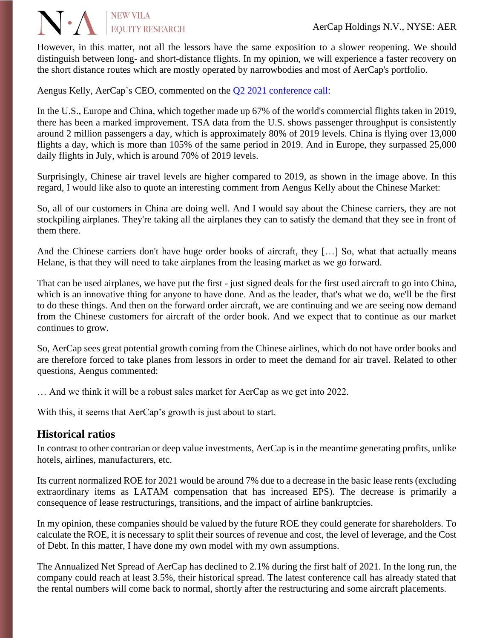#### AerCap Holdings N.V., NYSE: AER

However, in this matter, not all the lessors have the same exposition to a slower reopening. We should distinguish between long- and short-distance flights. In my opinion, we will experience a faster recovery on the short distance routes which are mostly operated by narrowbodies and most of AerCap's portfolio.

Aengus Kelly, AerCap`s CEO, commented on the [Q2 2021 conference call:](https://seekingalpha.com/article/4442715-aercap-holdings-n-v-aer-ceo-aengus-kelly-on-q2-2021-results-earnings-call-transcript?source=content_type%3Areact%7Csection%3Amain_content%7Cbutton%3Abody_link)

**N** A EQUITY RESEARCH

In the U.S., Europe and China, which together made up 67% of the world's commercial flights taken in 2019, there has been a marked improvement. TSA data from the U.S. shows passenger throughput is consistently around 2 million passengers a day, which is approximately 80% of 2019 levels. China is flying over 13,000 flights a day, which is more than 105% of the same period in 2019. And in Europe, they surpassed 25,000 daily flights in July, which is around 70% of 2019 levels.

Surprisingly, Chinese air travel levels are higher compared to 2019, as shown in the image above. In this regard, I would like also to quote an interesting comment from Aengus Kelly about the Chinese Market:

So, all of our customers in China are doing well. And I would say about the Chinese carriers, they are not stockpiling airplanes. They're taking all the airplanes they can to satisfy the demand that they see in front of them there.

And the Chinese carriers don't have huge order books of aircraft, they [...] So, what that actually means Helane, is that they will need to take airplanes from the leasing market as we go forward.

That can be used airplanes, we have put the first - just signed deals for the first used aircraft to go into China, which is an innovative thing for anyone to have done. And as the leader, that's what we do, we'll be the first to do these things. And then on the forward order aircraft, we are continuing and we are seeing now demand from the Chinese customers for aircraft of the order book. And we expect that to continue as our market continues to grow.

So, AerCap sees great potential growth coming from the Chinese airlines, which do not have order books and are therefore forced to take planes from lessors in order to meet the demand for air travel. Related to other questions, Aengus commented:

… And we think it will be a robust sales market for AerCap as we get into 2022.

With this, it seems that AerCap's growth is just about to start.

## **Historical ratios**

In contrast to other contrarian or deep value investments, AerCap is in the meantime generating profits, unlike hotels, airlines, manufacturers, etc.

Its current normalized ROE for 2021 would be around 7% due to a decrease in the basic lease rents (excluding extraordinary items as LATAM compensation that has increased EPS). The decrease is primarily a consequence of lease restructurings, transitions, and the impact of airline bankruptcies.

In my opinion, these companies should be valued by the future ROE they could generate for shareholders. To calculate the ROE, it is necessary to split their sources of revenue and cost, the level of leverage, and the Cost of Debt. In this matter, I have done my own model with my own assumptions.

The Annualized Net Spread of AerCap has declined to 2.1% during the first half of 2021. In the long run, the company could reach at least 3.5%, their historical spread. The latest conference call has already stated that the rental numbers will come back to normal, shortly after the restructuring and some aircraft placements.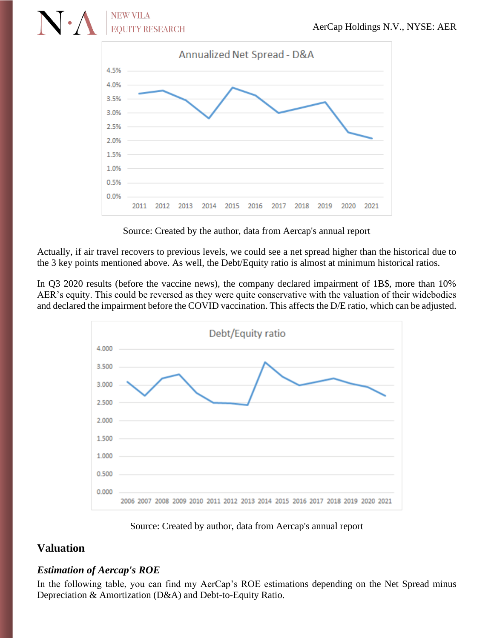

Source: Created by the author, data from Aercap's annual report

Actually, if air travel recovers to previous levels, we could see a net spread higher than the historical due to the 3 key points mentioned above. As well, the Debt/Equity ratio is almost at minimum historical ratios.

In Q3 2020 results (before the vaccine news), the company declared impairment of 1B\$, more than 10% AER's equity. This could be reversed as they were quite conservative with the valuation of their widebodies and declared the impairment before the COVID vaccination. This affects the D/E ratio, which can be adjusted.



Source: Created by author, data from Aercap's annual report

# **Valuation**

## *Estimation of Aercap's ROE*

In the following table, you can find my AerCap's ROE estimations depending on the Net Spread minus Depreciation & Amortization (D&A) and Debt-to-Equity Ratio.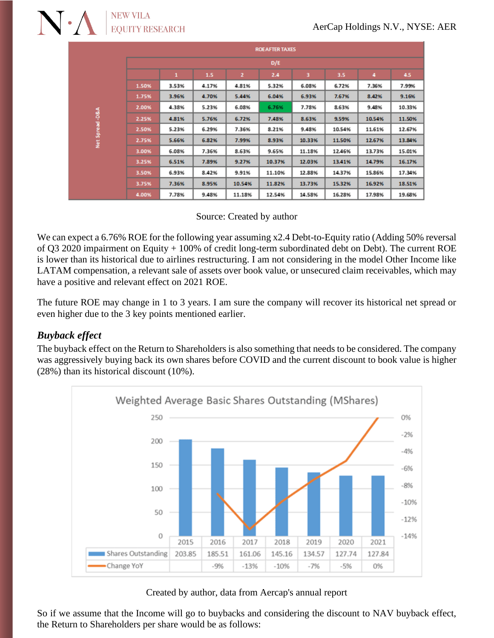# **NEW VILA EOUITY RESEARCH**

|                | <b>ROEAFTER TAXES</b> |       |       |                |        |        |        |        |        |  |
|----------------|-----------------------|-------|-------|----------------|--------|--------|--------|--------|--------|--|
|                | D/E                   |       |       |                |        |        |        |        |        |  |
|                |                       | 1     | 1.5   | $\overline{2}$ | 2.4    | з      | 3.5    |        | 4.5    |  |
| Net Spread-D&A | 1.50%                 | 3.53% | 4.17% | 4.81%          | 5.32%  | 6.08%  | 6.72%  | 7.36%  | 7.99%  |  |
|                | 1.75%                 | 3.96% | 4.70% | 5.44%          | 6.04%  | 6.93%  | 7.67%  | 8.42%  | 9.16%  |  |
|                | 2.00%                 | 4.38% | 5.23% | 6.08%          | 6.76%  | 7.78%  | 8.63%  | 9.48%  | 10.33% |  |
|                | 2.25%                 | 4.81% | 5.76% | 6.72%          | 7.48%  | 8.63%  | 9.59%  | 10.54% | 11.50% |  |
|                | 2.50%                 | 5.23% | 6.29% | 7.36%          | 8.21%  | 9.48%  | 10.54% | 11.61% | 12.67% |  |
|                | 2.75%                 | 5.66% | 6.82% | 7.99%          | 8.93%  | 10.33% | 11.50% | 12.67% | 13.84% |  |
|                | 3.00%                 | 6.08% | 7.36% | 8.63%          | 9.65%  | 11.18% | 12.46% | 13.73% | 15.01% |  |
|                | 3.25%                 | 6.51% | 7.89% | 9.27%          | 10.37% | 12.03% | 13.41% | 14.79% | 16.17% |  |
|                | 3.50%                 | 6.93% | 8.42% | 9.91%          | 11.10% | 12.88% | 14.37% | 15.86% | 17.34% |  |
|                | 3.75%                 | 7.36% | 8.95% | 10.54%         | 11.82% | 13.73% | 15.32% | 16.92% | 18.51% |  |
|                | 4.00%                 | 7.78% | 9.48% | 11.18%         | 12.54% | 14.58% | 16.28% | 17.98% | 19.68% |  |

#### Source: Created by author

We can expect a 6.76% ROE for the following year assuming x2.4 Debt-to-Equity ratio (Adding 50% reversal of Q3 2020 impairment on Equity + 100% of credit long-term subordinated debt on Debt). The current ROE is lower than its historical due to airlines restructuring. I am not considering in the model Other Income like LATAM compensation, a relevant sale of assets over book value, or unsecured claim receivables, which may have a positive and relevant effect on 2021 ROE.

The future ROE may change in 1 to 3 years. I am sure the company will recover its historical net spread or even higher due to the 3 key points mentioned earlier.

# *Buyback effect*

The buyback effect on the Return to Shareholders is also something that needs to be considered. The company was aggressively buying back its own shares before COVID and the current discount to book value is higher (28%) than its historical discount (10%).



#### Created by author, data from Aercap's annual report

So if we assume that the Income will go to buybacks and considering the discount to NAV buyback effect, the Return to Shareholders per share would be as follows: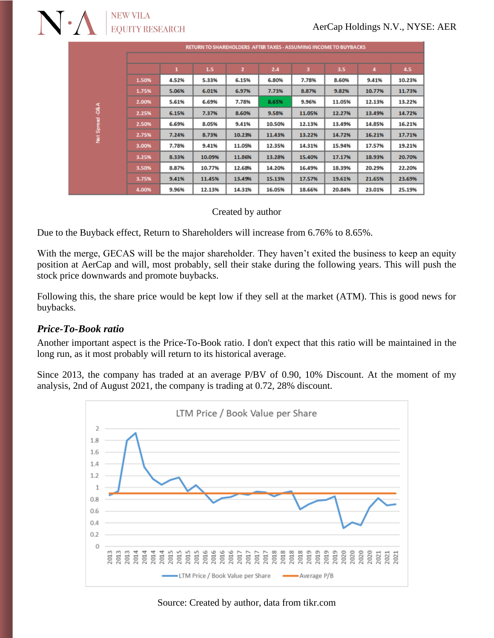| RETURN TO SHAREHOLDERS AFTER TAXES - ASSUMING INCOME TO BUYBACKS |       |       |        |              |        |        |        |        |        |
|------------------------------------------------------------------|-------|-------|--------|--------------|--------|--------|--------|--------|--------|
|                                                                  |       |       |        |              |        |        |        |        |        |
|                                                                  |       | 1     | 1.5    | $\mathbf{z}$ | 2.4    | з      | 3.5    | 4      | 4.5    |
| 36 <sup>4</sup><br>Spread<br>ž                                   | 1.50% | 4.52% | 5.33%  | 6.15%        | 6.80%  | 7.78%  | 8.60%  | 9.41%  | 10.23% |
|                                                                  | 1.75% | 5.06% | 6.01%  | 6.97%        | 7.73%  | 8.87%  | 9.82%  | 10.77% | 11.73% |
|                                                                  | 2.00% | 5.61% | 6.69%  | 7.78%        | 8.65%  | 9.96%  | 11.05% | 12.13% | 13.22% |
|                                                                  | 2.25% | 6.15% | 7.37%  | 8.60%        | 9.58%  | 11.05% | 12.27% | 13.49% | 14.72% |
|                                                                  | 2.50% | 6.69% | 8.05%  | 9.41%        | 10.50% | 12.13% | 13.49% | 14.85% | 16.21% |
|                                                                  | 2.75% | 7.24% | 8.73%  | 10.23%       | 11.43% | 13.22% | 14.72% | 16.21% | 17.71% |
|                                                                  | 3.00% | 7.78% | 9.41%  | 11.05%       | 12.35% | 14.31% | 15.94% | 17.57% | 19.21% |
|                                                                  | 3.25% | 8.33% | 10.09% | 11.86%       | 13.28% | 15.40% | 17.17% | 18.93% | 20.70% |
|                                                                  | 3.50% | 8.87% | 10.77% | 12.68%       | 14.20% | 16.49% | 18.39% | 20.29% | 22.20% |
|                                                                  | 3.75% | 9.41% | 11.45% | 13.49%       | 15.13% | 17.57% | 19.61% | 21.65% | 23.69% |
|                                                                  | 4.00% | 9.96% | 12.13% | 14.31%       | 16.05% | 18.66% | 20.84% | 23.01% | 25.19% |

#### Created by author

Due to the Buyback effect, Return to Shareholders will increase from 6.76% to 8.65%.

With the merge, GECAS will be the major shareholder. They haven't exited the business to keep an equity position at AerCap and will, most probably, sell their stake during the following years. This will push the stock price downwards and promote buybacks.

Following this, the share price would be kept low if they sell at the market (ATM). This is good news for buybacks.

## *Price-To-Book ratio*

Another important aspect is the Price-To-Book ratio. I don't expect that this ratio will be maintained in the long run, as it most probably will return to its historical average.

Since 2013, the company has traded at an average P/BV of 0.90, 10% Discount. At the moment of my analysis, 2nd of August 2021, the company is trading at 0.72, 28% discount.



#### Source: Created by author, data from tikr.com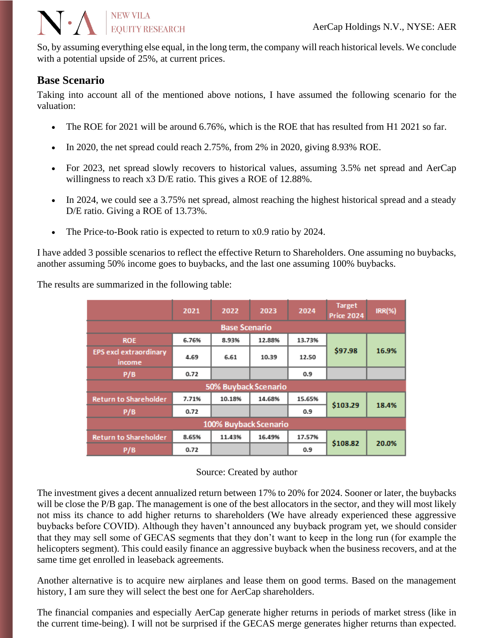So, by assuming everything else equal, in the long term, the company will reach historical levels. We conclude with a potential upside of 25%, at current prices.

## **Base Scenario**

**N** . A **EXP VILA** 

Taking into account all of the mentioned above notions, I have assumed the following scenario for the valuation:

- The ROE for 2021 will be around 6.76%, which is the ROE that has resulted from H1 2021 so far.
- In 2020, the net spread could reach 2.75%, from 2% in 2020, giving 8.93% ROE.
- For 2023, net spread slowly recovers to historical values, assuming 3.5% net spread and AerCap willingness to reach x3 D/E ratio. This gives a ROE of 12.88%.
- In 2024, we could see a 3.75% net spread, almost reaching the highest historical spread and a steady D/E ratio. Giving a ROE of 13.73%.
- The Price-to-Book ratio is expected to return to x0.9 ratio by 2024.

I have added 3 possible scenarios to reflect the effective Return to Shareholders. One assuming no buybacks, another assuming 50% income goes to buybacks, and the last one assuming 100% buybacks.

The results are summarized in the following table:

|                                  | 2021  | 2022   | 2023   | 2024   | <b>Target</b><br><b>Price 2024</b> | $IRR(% \mathscr{C})$ |  |  |  |  |
|----------------------------------|-------|--------|--------|--------|------------------------------------|----------------------|--|--|--|--|
| <b>Base Scenario</b>             |       |        |        |        |                                    |                      |  |  |  |  |
| <b>ROE</b>                       | 6.76% | 8.93%  | 12.88% | 13.73% |                                    | 16.9%                |  |  |  |  |
| EPS excl extraordinary<br>income | 4.69  | 6.61   | 10.39  | 12.50  | \$97.98                            |                      |  |  |  |  |
| P/B                              | 0.72  |        |        | 0.9    |                                    |                      |  |  |  |  |
| 50% Buyback Scenario             |       |        |        |        |                                    |                      |  |  |  |  |
| <b>Return to Shareholder</b>     | 7.71% | 10.18% | 14.68% | 15.65% | \$103.29                           | 18.4%                |  |  |  |  |
| P/B                              | 0.72  |        |        | 0.9    |                                    |                      |  |  |  |  |
| 100% Buyback Scenario            |       |        |        |        |                                    |                      |  |  |  |  |
| <b>Return to Shareholder</b>     | 8.65% | 11.43% | 16.49% | 17.57% |                                    |                      |  |  |  |  |
| P/B                              | 0.72  |        |        | 0.9    | \$108.82                           | 20.0%                |  |  |  |  |

#### Source: Created by author

The investment gives a decent annualized return between 17% to 20% for 2024. Sooner or later, the buybacks will be close the P/B gap. The management is one of the best allocators in the sector, and they will most likely not miss its chance to add higher returns to shareholders (We have already experienced these aggressive buybacks before COVID). Although they haven't announced any buyback program yet, we should consider that they may sell some of GECAS segments that they don't want to keep in the long run (for example the helicopters segment). This could easily finance an aggressive buyback when the business recovers, and at the same time get enrolled in leaseback agreements.

Another alternative is to acquire new airplanes and lease them on good terms. Based on the management history, I am sure they will select the best one for AerCap shareholders.

The financial companies and especially AerCap generate higher returns in periods of market stress (like in the current time-being). I will not be surprised if the GECAS merge generates higher returns than expected.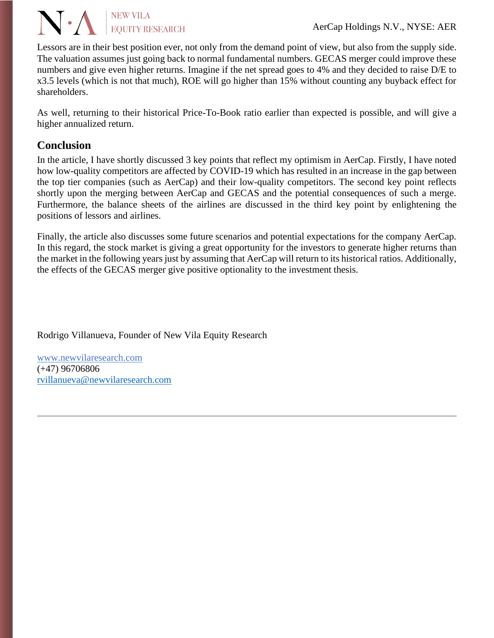#### $\sqrt{. A}$ **NEW VILA EOUITY RESEARCH**

AerCap Holdings N.V., NYSE: AER

Lessors are in their best position ever, not only from the demand point of view, but also from the supply side. The valuation assumes just going back to normal fundamental numbers. GECAS merger could improve these numbers and give even higher returns. Imagine if the net spread goes to 4% and they decided to raise D/E to x3.5 levels (which is not that much), ROE will go higher than 15% without counting any buyback effect for shareholders.

As well, returning to their historical Price-To-Book ratio earlier than expected is possible, and will give a higher annualized return.

# **Conclusion**

In the article, I have shortly discussed 3 key points that reflect my optimism in AerCap. Firstly, I have noted how low-quality competitors are affected by COVID-19 which has resulted in an increase in the gap between the top tier companies (such as AerCap) and their low-quality competitors. The second key point reflects shortly upon the merging between AerCap and GECAS and the potential consequences of such a merge. Furthermore, the balance sheets of the airlines are discussed in the third key point by enlightening the positions of lessors and airlines.

Finally, the article also discusses some future scenarios and potential expectations for the company AerCap. In this regard, the stock market is giving a great opportunity for the investors to generate higher returns than the market in the following years just by assuming that AerCap will return to its historical ratios. Additionally, the effects of the GECAS merger give positive optionality to the investment thesis.

Rodrigo Villanueva, Founder of New Vila Equity Research

[www.newvilaresearch.com](file:///C:/Users/rovil/Downloads/www.newvilaresearch.com) (+47) 96706806 [rvillanueva@newvilaresearch.com](mailto:rvillanueva@newvilaresearch.com)